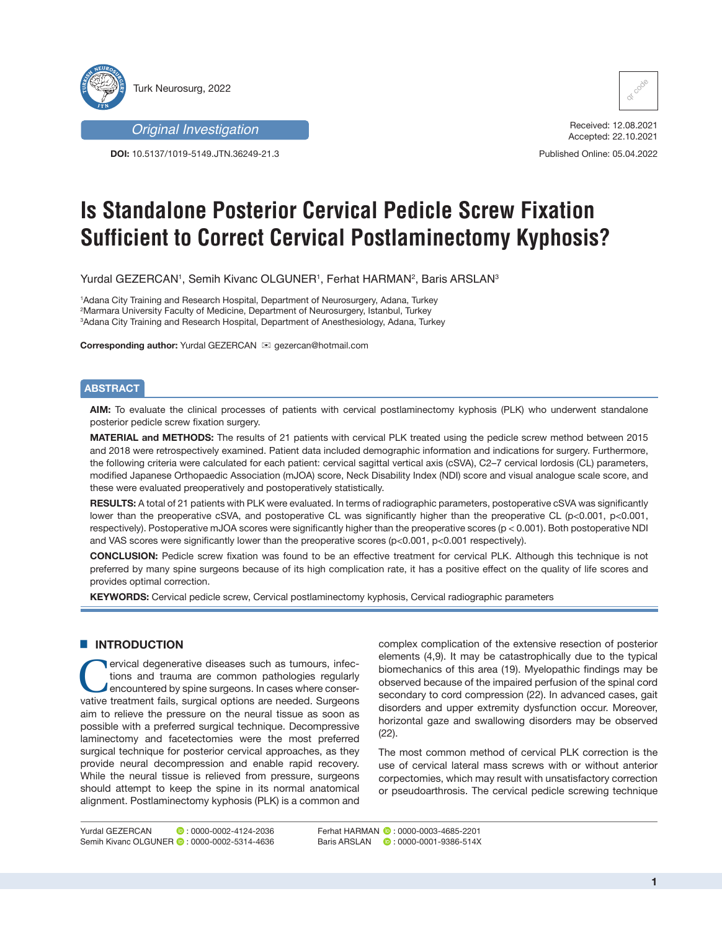



**DOI:** 10.5137/1019-5149.JTN.36249-21.3



Received: 12.08.2021 Accepted: 22.10.2021

Published Online: 05.04.2022

# **Is Standalone Posterior Cervical Pedicle Screw Fixation Sufficient to Correct Cervical Postlaminectomy Kyphosis?**

Yurdal GEZERCAN', Semih Kivanc OLGUNER', Ferhat HARMAN<del>°</del>, Baris ARSLANª

1 Adana City Training and Research Hospital, Department of Neurosurgery, Adana, Turkey 2 Marmara University Faculty of Medicine, Department of Neurosurgery, Istanbul, Turkey 3 Adana City Training and Research Hospital, Department of Anesthesiology, Adana, Turkey

**Corresponding author: Yurdal GEZERCAN 
<sub>⊠</sub> qezercan@hotmail.com** 

### **ABSTRACT**

**AIM:** To evaluate the clinical processes of patients with cervical postlaminectomy kyphosis (PLK) who underwent standalone posterior pedicle screw fixation surgery.

**MATERIAL and METHODS:** The results of 21 patients with cervical PLK treated using the pedicle screw method between 2015 and 2018 were retrospectively examined. Patient data included demographic information and indications for surgery. Furthermore, the following criteria were calculated for each patient: cervical sagittal vertical axis (cSVA), C2–7 cervical lordosis (CL) parameters, modified Japanese Orthopaedic Association (mJOA) score, Neck Disability Index (NDI) score and visual analogue scale score, and these were evaluated preoperatively and postoperatively statistically.

**RESULTS:** A total of 21 patients with PLK were evaluated. In terms of radiographic parameters, postoperative cSVA was significantly lower than the preoperative cSVA, and postoperative CL was significantly higher than the preoperative CL (p<0.001, p<0.001, respectively). Postoperative mJOA scores were significantly higher than the preoperative scores (p < 0.001). Both postoperative NDI and VAS scores were significantly lower than the preoperative scores (p<0.001, p<0.001 respectively).

**CONCLUSION:** Pedicle screw fixation was found to be an effective treatment for cervical PLK. Although this technique is not preferred by many spine surgeons because of its high complication rate, it has a positive effect on the quality of life scores and provides optimal correction.

**KEYWORDS:** Cervical pedicle screw, Cervical postlaminectomy kyphosis, Cervical radiographic parameters

### **E INTRODUCTION**

ervical degenerative diseases such as tumours, infections and trauma are common pathologies regularly encountered by spine surgeons. In cases where conservative treatment fails, surgical options are needed. Surgeons aim to relieve the pressure on the neural tissue as soon as possible with a preferred surgical technique. Decompressive laminectomy and facetectomies were the most preferred surgical technique for posterior cervical approaches, as they provide neural decompression and enable rapid recovery. While the neural tissue is relieved from pressure, surgeons should attempt to keep the spine in its normal anatomical alignment. Postlaminectomy kyphosis (PLK) is a common and

complex complication of the extensive resection of posterior elements (4,9). It may be catastrophically due to the typical biomechanics of this area (19). Myelopathic findings may be observed because of the impaired perfusion of the spinal cord secondary to cord compression (22). In advanced cases, gait disorders and upper extremity dysfunction occur. Moreover, horizontal gaze and swallowing disorders may be observed (22).

The most common method of cervical PLK correction is the use of cervical lateral mass screws with or without anterior corpectomies, which may result with unsatisfactory correction or pseudoarthrosis. The cervical pedicle screwing technique

Ferhat HARMAN  $\bullet$ : 0000-0003-4685-2201 Baris ARSLAN **:** 0000-0001-9386-514X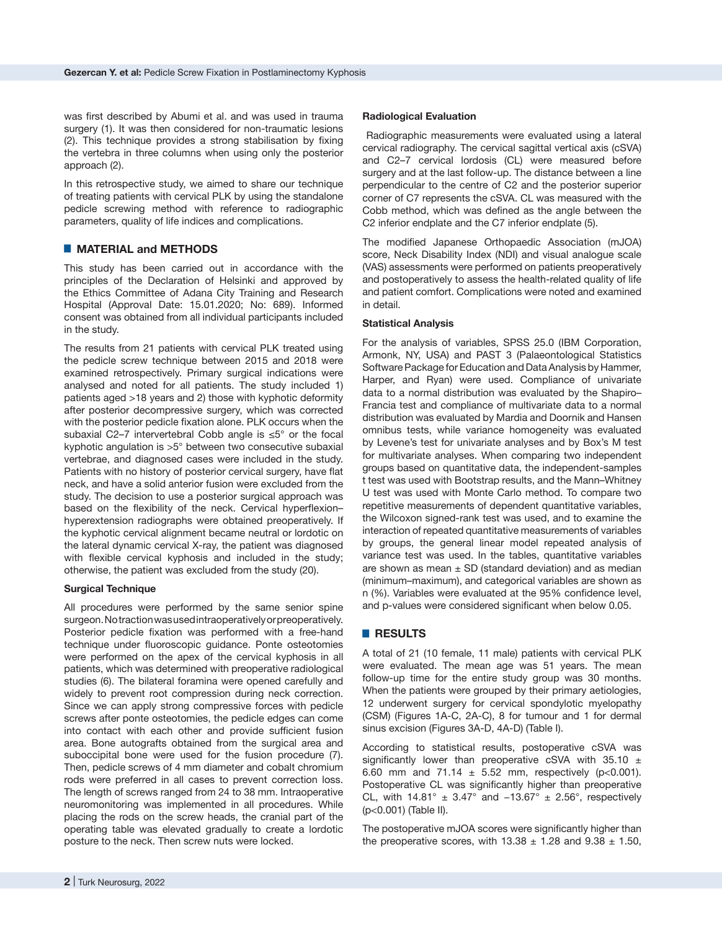was first described by Abumi et al. and was used in trauma surgery (1). It was then considered for non-traumatic lesions (2). This technique provides a strong stabilisation by fixing the vertebra in three columns when using only the posterior approach (2).

In this retrospective study, we aimed to share our technique of treating patients with cervical PLK by using the standalone pedicle screwing method with reference to radiographic parameters, quality of life indices and complications.

# █ **MATERIAL and METHODS**

This study has been carried out in accordance with the principles of the Declaration of Helsinki and approved by the Ethics Committee of Adana City Training and Research Hospital (Approval Date: 15.01.2020; No: 689). Informed consent was obtained from all individual participants included in the study.

The results from 21 patients with cervical PLK treated using the pedicle screw technique between 2015 and 2018 were examined retrospectively. Primary surgical indications were analysed and noted for all patients. The study included 1) patients aged >18 years and 2) those with kyphotic deformity after posterior decompressive surgery, which was corrected with the posterior pedicle fixation alone. PLK occurs when the subaxial C2–7 intervertebral Cobb angle is ≤5° or the focal kyphotic angulation is >5° between two consecutive subaxial vertebrae, and diagnosed cases were included in the study. Patients with no history of posterior cervical surgery, have flat neck, and have a solid anterior fusion were excluded from the study. The decision to use a posterior surgical approach was based on the flexibility of the neck. Cervical hyperflexion– hyperextension radiographs were obtained preoperatively. If the kyphotic cervical alignment became neutral or lordotic on the lateral dynamic cervical X-ray, the patient was diagnosed with flexible cervical kyphosis and included in the study; otherwise, the patient was excluded from the study (20).

### **Surgical Technique**

All procedures were performed by the same senior spine surgeon. No traction was used intraoperatively or preoperatively. Posterior pedicle fixation was performed with a free-hand technique under fluoroscopic guidance. Ponte osteotomies were performed on the apex of the cervical kyphosis in all patients, which was determined with preoperative radiological studies (6). The bilateral foramina were opened carefully and widely to prevent root compression during neck correction. Since we can apply strong compressive forces with pedicle screws after ponte osteotomies, the pedicle edges can come into contact with each other and provide sufficient fusion area. Bone autografts obtained from the surgical area and suboccipital bone were used for the fusion procedure (7). Then, pedicle screws of 4 mm diameter and cobalt chromium rods were preferred in all cases to prevent correction loss. The length of screws ranged from 24 to 38 mm. Intraoperative neuromonitoring was implemented in all procedures. While placing the rods on the screw heads, the cranial part of the operating table was elevated gradually to create a lordotic posture to the neck. Then screw nuts were locked.

### **Radiological Evaluation**

 Radiographic measurements were evaluated using a lateral cervical radiography. The cervical sagittal vertical axis (cSVA) and C2–7 cervical lordosis (CL) were measured before surgery and at the last follow-up. The distance between a line perpendicular to the centre of C2 and the posterior superior corner of C7 represents the cSVA. CL was measured with the Cobb method, which was defined as the angle between the C2 inferior endplate and the C7 inferior endplate (5).

The modified Japanese Orthopaedic Association (mJOA) score, Neck Disability Index (NDI) and visual analogue scale (VAS) assessments were performed on patients preoperatively and postoperatively to assess the health-related quality of life and patient comfort. Complications were noted and examined in detail.

### **Statistical Analysis**

For the analysis of variables, SPSS 25.0 (IBM Corporation, Armonk, NY, USA) and PAST 3 (Palaeontological Statistics Software Package for Education and Data Analysis by Hammer, Harper, and Ryan) were used. Compliance of univariate data to a normal distribution was evaluated by the Shapiro– Francia test and compliance of multivariate data to a normal distribution was evaluated by Mardia and Doornik and Hansen omnibus tests, while variance homogeneity was evaluated by Levene's test for univariate analyses and by Box's M test for multivariate analyses. When comparing two independent groups based on quantitative data, the independent-samples t test was used with Bootstrap results, and the Mann–Whitney U test was used with Monte Carlo method. To compare two repetitive measurements of dependent quantitative variables, the Wilcoxon signed-rank test was used, and to examine the interaction of repeated quantitative measurements of variables by groups, the general linear model repeated analysis of variance test was used. In the tables, quantitative variables are shown as mean  $\pm$  SD (standard deviation) and as median (minimum–maximum), and categorical variables are shown as n (%). Variables were evaluated at the 95% confidence level, and p-values were considered significant when below 0.05.

# █ **RESULTS**

A total of 21 (10 female, 11 male) patients with cervical PLK were evaluated. The mean age was 51 years. The mean follow-up time for the entire study group was 30 months. When the patients were grouped by their primary aetiologies, 12 underwent surgery for cervical spondylotic myelopathy (CSM) (Figures 1A-C, 2A-C), 8 for tumour and 1 for dermal sinus excision (Figures 3A-D, 4A-D) (Table I).

According to statistical results, postoperative cSVA was significantly lower than preoperative cSVA with 35.10  $\pm$ 6.60 mm and 71.14  $\pm$  5.52 mm, respectively (p<0.001). Postoperative CL was significantly higher than preoperative CL, with  $14.81^\circ \pm 3.47^\circ$  and  $-13.67^\circ \pm 2.56^\circ$ , respectively (p<0.001) (Table II).

The postoperative mJOA scores were significantly higher than the preoperative scores, with  $13.38 \pm 1.28$  and  $9.38 \pm 1.50$ ,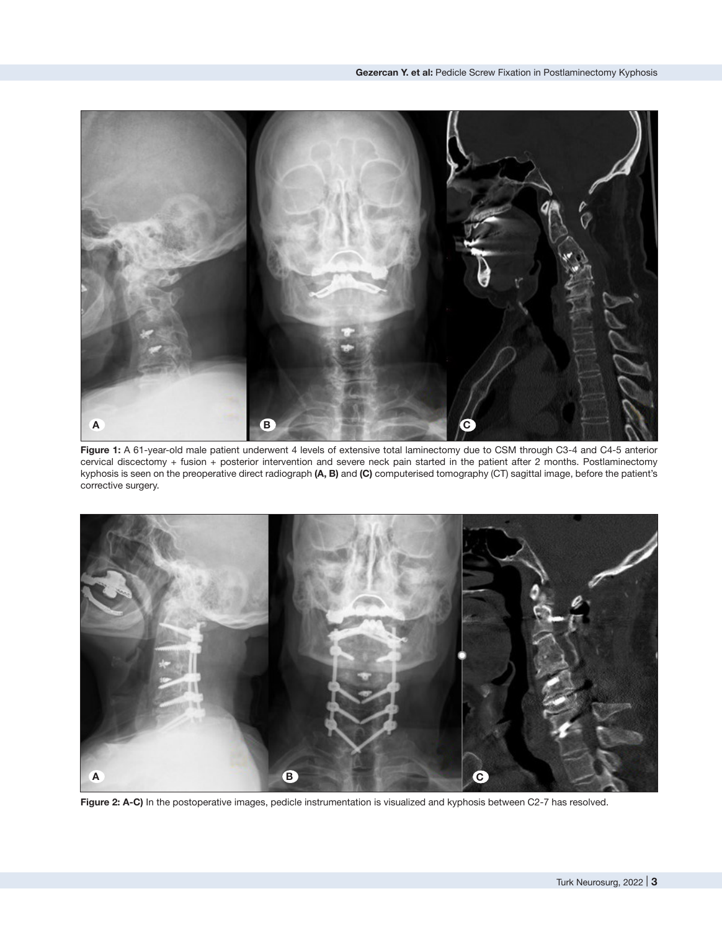

**Figure 1:** A 61-year-old male patient underwent 4 levels of extensive total laminectomy due to CSM through C3-4 and C4-5 anterior cervical discectomy + fusion + posterior intervention and severe neck pain started in the patient after 2 months. Postlaminectomy kyphosis is seen on the preoperative direct radiograph **(A, B)** and **(C)** computerised tomography (CT) sagittal image, before the patient's corrective surgery.



**Figure 2: A-C)** In the postoperative images, pedicle instrumentation is visualized and kyphosis between C2-7 has resolved.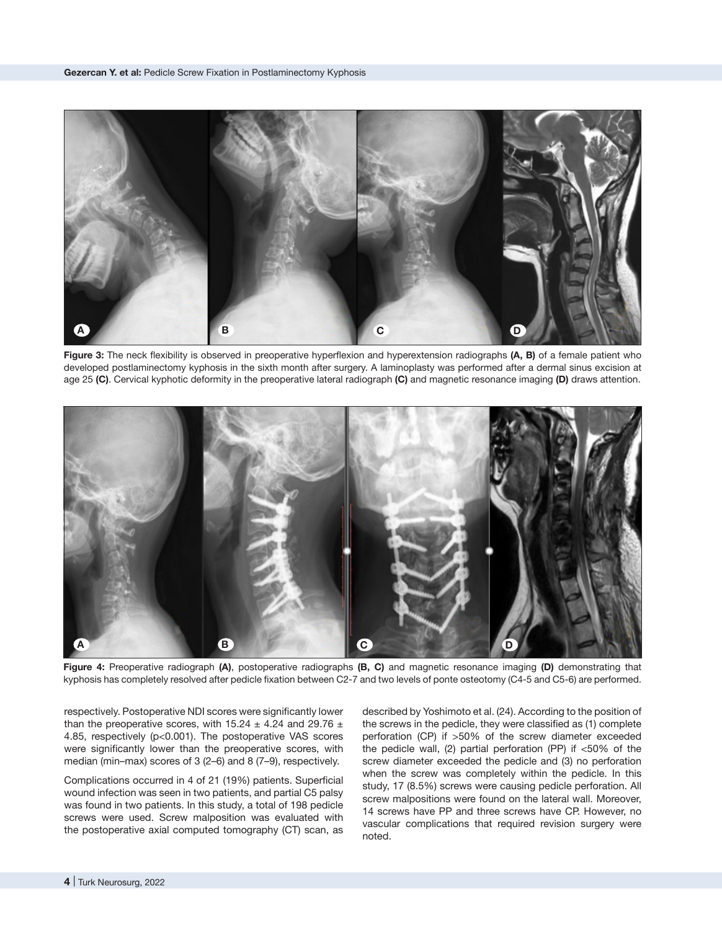

**Figure 3:** The neck flexibility is observed in preoperative hyperflexion and hyperextension radiographs **(A, B)** of a female patient who developed postlaminectomy kyphosis in the sixth month after surgery. A laminoplasty was performed after a dermal sinus excision at age 25 **(C)**. Cervical kyphotic deformity in the preoperative lateral radiograph **(C)** and magnetic resonance imaging **(D)** draws attention.



**Figure 4:** Preoperative radiograph **(A)**, postoperative radiographs **(B, C)** and magnetic resonance imaging **(D)** demonstrating that kyphosis has completely resolved after pedicle fixation between C2-7 and two levels of ponte osteotomy (C4-5 and C5-6) are performed.

respectively. Postoperative NDI scores were significantly lower than the preoperative scores, with 15.24  $\pm$  4.24 and 29.76  $\pm$ 4.85, respectively (p<0.001). The postoperative VAS scores were significantly lower than the preoperative scores, with median (min–max) scores of 3 (2–6) and 8 (7–9), respectively.

Complications occurred in 4 of 21 (19%) patients. Superficial wound infection was seen in two patients, and partial C5 palsy was found in two patients. In this study, a total of 198 pedicle screws were used. Screw malposition was evaluated with the postoperative axial computed tomography (CT) scan, as described by Yoshimoto et al. (24). According to the position of the screws in the pedicle, they were classified as (1) complete perforation (CP) if >50% of the screw diameter exceeded the pedicle wall, (2) partial perforation (PP) if <50% of the screw diameter exceeded the pedicle and (3) no perforation when the screw was completely within the pedicle. In this study, 17 (8.5%) screws were causing pedicle perforation. All screw malpositions were found on the lateral wall. Moreover, 14 screws have PP and three screws have CP. However, no vascular complications that required revision surgery were noted.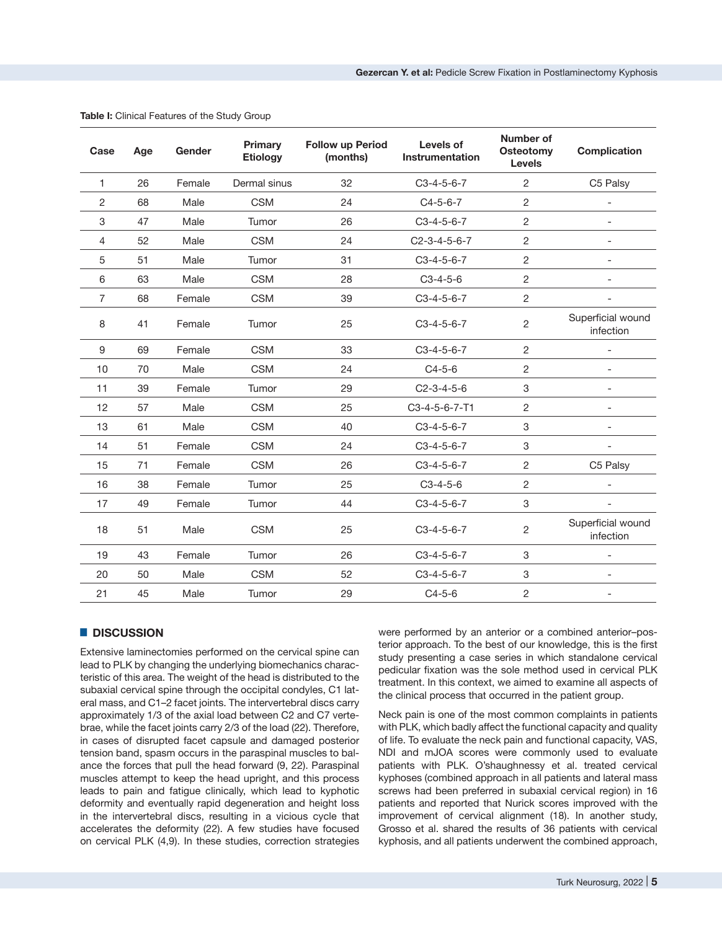| Case           | Age | Gender | <b>Primary</b><br><b>Etiology</b> | <b>Follow up Period</b><br>(months) | Levels of<br><b>Instrumentation</b> | <b>Number of</b><br>Osteotomy<br><b>Levels</b> | <b>Complication</b>            |
|----------------|-----|--------|-----------------------------------|-------------------------------------|-------------------------------------|------------------------------------------------|--------------------------------|
| 1              | 26  | Female | Dermal sinus                      | 32                                  | $C3-4-5-6-7$                        | $\overline{c}$                                 | C5 Palsy                       |
| 2              | 68  | Male   | <b>CSM</b>                        | 24                                  | $C4-5-6-7$                          | $\overline{c}$                                 |                                |
| 3              | 47  | Male   | Tumor                             | 26                                  | $C3-4-5-6-7$                        | $\overline{c}$                                 | $\overline{\phantom{a}}$       |
| 4              | 52  | Male   | <b>CSM</b>                        | 24                                  | $C2-3-4-5-6-7$                      | $\overline{c}$                                 |                                |
| 5              | 51  | Male   | Tumor                             | 31                                  | $C3-4-5-6-7$                        | $\overline{c}$                                 | $\overline{a}$                 |
| 6              | 63  | Male   | <b>CSM</b>                        | 28                                  | $C3-4-5-6$                          | $\overline{c}$                                 |                                |
| $\overline{7}$ | 68  | Female | <b>CSM</b>                        | 39                                  | $C3-4-5-6-7$                        | $\overline{c}$                                 | $\overline{\phantom{a}}$       |
| 8              | 41  | Female | Tumor                             | 25                                  | $C3-4-5-6-7$                        | $\overline{c}$                                 | Superficial wound<br>infection |
| 9              | 69  | Female | <b>CSM</b>                        | 33                                  | $C3-4-5-6-7$                        | $\overline{c}$                                 |                                |
| 10             | 70  | Male   | <b>CSM</b>                        | 24                                  | $C4-5-6$                            | $\overline{c}$                                 |                                |
| 11             | 39  | Female | Tumor                             | 29                                  | $C2-3-4-5-6$                        | 3                                              | $\overline{\phantom{a}}$       |
| 12             | 57  | Male   | <b>CSM</b>                        | 25                                  | C3-4-5-6-7-T1                       | $\overline{c}$                                 |                                |
| 13             | 61  | Male   | <b>CSM</b>                        | 40                                  | $C3-4-5-6-7$                        | 3                                              |                                |
| 14             | 51  | Female | <b>CSM</b>                        | 24                                  | $C3-4-5-6-7$                        | 3                                              |                                |
| 15             | 71  | Female | <b>CSM</b>                        | 26                                  | $C3-4-5-6-7$                        | $\overline{c}$                                 | C5 Palsy                       |
| 16             | 38  | Female | Tumor                             | 25                                  | $C3-4-5-6$                          | $\overline{c}$                                 |                                |
| 17             | 49  | Female | Tumor                             | 44                                  | $C3-4-5-6-7$                        | 3                                              |                                |
| 18             | 51  | Male   | <b>CSM</b>                        | 25                                  | $C3-4-5-6-7$                        | $\overline{c}$                                 | Superficial wound<br>infection |
| 19             | 43  | Female | Tumor                             | 26                                  | $C3-4-5-6-7$                        | 3                                              |                                |
| 20             | 50  | Male   | <b>CSM</b>                        | 52                                  | $C3-4-5-6-7$                        | 3                                              |                                |
| 21             | 45  | Male   | Tumor                             | 29                                  | $C4-5-6$                            | $\overline{c}$                                 |                                |

#### **Table I:** Clinical Features of the Study Group

# █ **DISCUSSION**

Extensive laminectomies performed on the cervical spine can lead to PLK by changing the underlying biomechanics characteristic of this area. The weight of the head is distributed to the subaxial cervical spine through the occipital condyles, C1 lateral mass, and C1–2 facet joints. The intervertebral discs carry approximately 1/3 of the axial load between C2 and C7 vertebrae, while the facet joints carry 2/3 of the load (22). Therefore, in cases of disrupted facet capsule and damaged posterior tension band, spasm occurs in the paraspinal muscles to balance the forces that pull the head forward (9, 22). Paraspinal muscles attempt to keep the head upright, and this process leads to pain and fatigue clinically, which lead to kyphotic deformity and eventually rapid degeneration and height loss in the intervertebral discs, resulting in a vicious cycle that accelerates the deformity (22). A few studies have focused on cervical PLK (4,9). In these studies, correction strategies

were performed by an anterior or a combined anterior–posterior approach. To the best of our knowledge, this is the first study presenting a case series in which standalone cervical pedicular fixation was the sole method used in cervical PLK treatment. In this context, we aimed to examine all aspects of the clinical process that occurred in the patient group.

Neck pain is one of the most common complaints in patients with PLK, which badly affect the functional capacity and quality of life. To evaluate the neck pain and functional capacity, VAS, NDI and mJOA scores were commonly used to evaluate patients with PLK. O'shaughnessy et al. treated cervical kyphoses (combined approach in all patients and lateral mass screws had been preferred in subaxial cervical region) in 16 patients and reported that Nurick scores improved with the improvement of cervical alignment (18). In another study, Grosso et al. shared the results of 36 patients with cervical kyphosis, and all patients underwent the combined approach,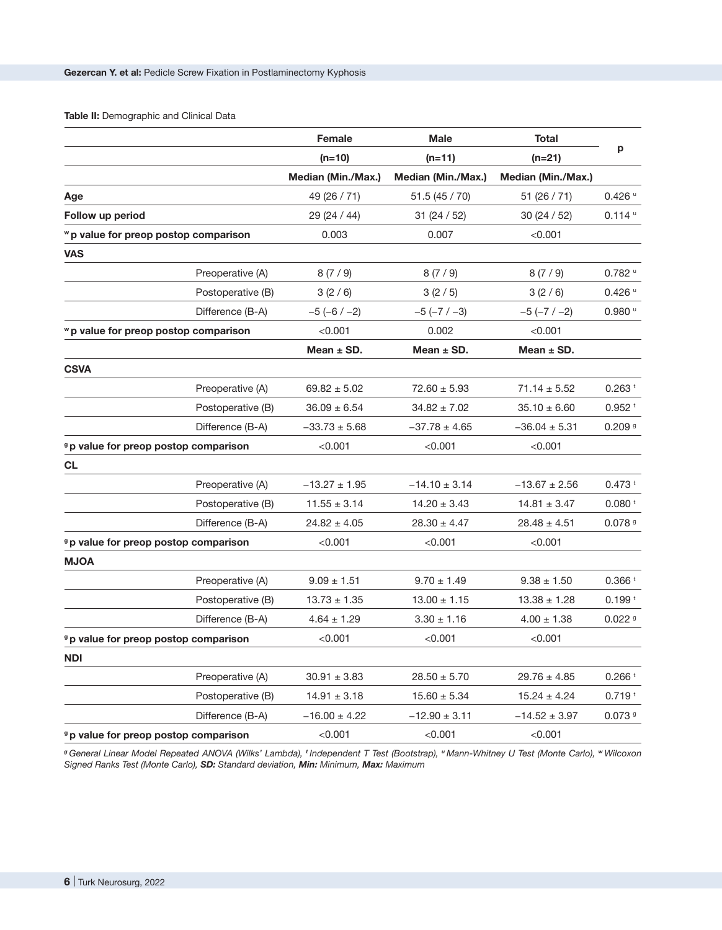# **Table II:** Demographic and Clinical Data

|                                                  | Female             | <b>Male</b>          | <b>Total</b>         |                      |  |
|--------------------------------------------------|--------------------|----------------------|----------------------|----------------------|--|
|                                                  | $(n=10)$           | $(n=11)$<br>$(n=21)$ |                      | p                    |  |
|                                                  | Median (Min./Max.) | Median (Min./Max.)   | Median (Min./Max.)   |                      |  |
| Age                                              | 49 (26 / 71)       | 51.5(45/70)          | 51 (26 / 71)         | $0.426$ $u$          |  |
| Follow up period                                 | 29 (24 / 44)       | 31(24/52)            | 30 (24 / 52)         | $0.114$ u            |  |
| "p value for preop postop comparison             | 0.003              | 0.007                | < 0.001              |                      |  |
| <b>VAS</b>                                       |                    |                      |                      |                      |  |
| Preoperative (A)                                 | 8(7/9)             | 8(7/9)               | 8(7/9)               | $0.782$ u            |  |
| Postoperative (B)                                | 3(2/6)             | 3(2/5)               | 3(2/6)               | $0.426$ $u$          |  |
| Difference (B-A)                                 | $-5(-6/-2)$        | $-5$ ( $-7$ / $-3$ ) | $-5$ ( $-7$ / $-2$ ) | $0.980$ u            |  |
| "p value for preop postop comparison             | < 0.001            | 0.002                | < 0.001              |                      |  |
|                                                  | Mean $\pm$ SD.     | Mean $\pm$ SD.       | Mean $\pm$ SD.       |                      |  |
| <b>CSVA</b>                                      |                    |                      |                      |                      |  |
| Preoperative (A)                                 | $69.82 \pm 5.02$   | $72.60 \pm 5.93$     | $71.14 \pm 5.52$     | $0.263$ <sup>t</sup> |  |
| Postoperative (B)                                | $36.09 \pm 6.54$   | $34.82 \pm 7.02$     | $35.10 \pm 6.60$     | $0.952$ <sup>t</sup> |  |
| Difference (B-A)                                 | $-33.73 \pm 5.68$  | $-37.78 \pm 4.65$    | $-36.04 \pm 5.31$    | 0.2099               |  |
| <sup>9</sup> p value for preop postop comparison | < 0.001            | < 0.001              | < 0.001              |                      |  |
| <b>CL</b>                                        |                    |                      |                      |                      |  |
| Preoperative (A)                                 | $-13.27 \pm 1.95$  | $-14.10 \pm 3.14$    | $-13.67 \pm 2.56$    | $0.473$ <sup>t</sup> |  |
| Postoperative (B)                                | $11.55 \pm 3.14$   | $14.20 \pm 3.43$     | $14.81 \pm 3.47$     | 0.080 <sup>†</sup>   |  |
| Difference (B-A)                                 | $24.82 \pm 4.05$   | $28.30 \pm 4.47$     | $28.48 \pm 4.51$     | 0.0789               |  |
| <sup>9</sup> p value for preop postop comparison | < 0.001            | < 0.001              | < 0.001              |                      |  |
| <b>MJOA</b>                                      |                    |                      |                      |                      |  |
| Preoperative (A)                                 | $9.09 \pm 1.51$    | $9.70 \pm 1.49$      | $9.38 \pm 1.50$      | 0.366 <sup>t</sup>   |  |
| Postoperative (B)                                | $13.73 \pm 1.35$   | $13.00 \pm 1.15$     | $13.38 \pm 1.28$     | 0.199t               |  |
| Difference (B-A)                                 | $4.64 \pm 1.29$    | $3.30 \pm 1.16$      | $4.00 \pm 1.38$      | 0.0229               |  |
| <sup>9</sup> p value for preop postop comparison | < 0.001            | < 0.001              | < 0.001              |                      |  |
| <b>NDI</b>                                       |                    |                      |                      |                      |  |
| Preoperative (A)                                 | $30.91 \pm 3.83$   | $28.50 \pm 5.70$     | $29.76 \pm 4.85$     | $0.266$ <sup>t</sup> |  |
| Postoperative (B)                                | $14.91 \pm 3.18$   | $15.60 \pm 5.34$     | $15.24 \pm 4.24$     | $0.719 +$            |  |
| Difference (B-A)                                 | $-16.00 \pm 4.22$  | $-12.90 \pm 3.11$    | $-14.52 \pm 3.97$    | 0.0739               |  |
| <sup>9</sup> p value for preop postop comparison | < 0.001            | < 0.001              | < 0.001              |                      |  |

*<sup>g</sup>General Linear Model Repeated ANOVA (Wilks' Lambda), <sup>t</sup>Independent T Test (Bootstrap), <sup>u</sup> Mann-Whitney U Test (Monte Carlo), <sup>w</sup> Wilcoxon Signed Ranks Test (Monte Carlo), SD: Standard deviation, Min: Minimum, Max: Maximum*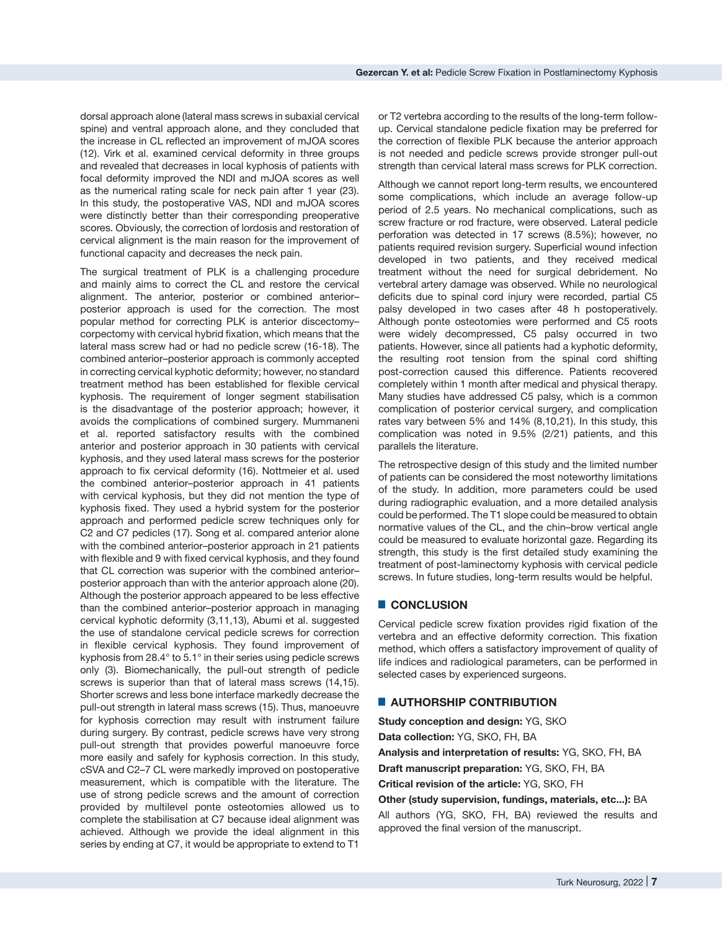dorsal approach alone (lateral mass screws in subaxial cervical spine) and ventral approach alone, and they concluded that the increase in CL reflected an improvement of mJOA scores (12). Virk et al. examined cervical deformity in three groups and revealed that decreases in local kyphosis of patients with focal deformity improved the NDI and mJOA scores as well as the numerical rating scale for neck pain after 1 year (23). In this study, the postoperative VAS, NDI and mJOA scores were distinctly better than their corresponding preoperative scores. Obviously, the correction of lordosis and restoration of cervical alignment is the main reason for the improvement of functional capacity and decreases the neck pain.

The surgical treatment of PLK is a challenging procedure and mainly aims to correct the CL and restore the cervical alignment. The anterior, posterior or combined anterior– posterior approach is used for the correction. The most popular method for correcting PLK is anterior discectomy– corpectomy with cervical hybrid fixation, which means that the lateral mass screw had or had no pedicle screw (16-18). The combined anterior–posterior approach is commonly accepted in correcting cervical kyphotic deformity; however, no standard treatment method has been established for flexible cervical kyphosis. The requirement of longer segment stabilisation is the disadvantage of the posterior approach; however, it avoids the complications of combined surgery. Mummaneni et al. reported satisfactory results with the combined anterior and posterior approach in 30 patients with cervical kyphosis, and they used lateral mass screws for the posterior approach to fix cervical deformity (16). Nottmeier et al. used the combined anterior–posterior approach in 41 patients with cervical kyphosis, but they did not mention the type of kyphosis fixed. They used a hybrid system for the posterior approach and performed pedicle screw techniques only for C2 and C7 pedicles (17). Song et al. compared anterior alone with the combined anterior–posterior approach in 21 patients with flexible and 9 with fixed cervical kyphosis, and they found that CL correction was superior with the combined anterior– posterior approach than with the anterior approach alone (20). Although the posterior approach appeared to be less effective than the combined anterior–posterior approach in managing cervical kyphotic deformity (3,11,13), Abumi et al. suggested the use of standalone cervical pedicle screws for correction in flexible cervical kyphosis. They found improvement of kyphosis from 28.4° to 5.1° in their series using pedicle screws only (3). Biomechanically, the pull-out strength of pedicle screws is superior than that of lateral mass screws (14,15). Shorter screws and less bone interface markedly decrease the pull-out strength in lateral mass screws (15). Thus, manoeuvre for kyphosis correction may result with instrument failure during surgery. By contrast, pedicle screws have very strong pull-out strength that provides powerful manoeuvre force more easily and safely for kyphosis correction. In this study, cSVA and C2–7 CL were markedly improved on postoperative measurement, which is compatible with the literature. The use of strong pedicle screws and the amount of correction provided by multilevel ponte osteotomies allowed us to complete the stabilisation at C7 because ideal alignment was achieved. Although we provide the ideal alignment in this series by ending at C7, it would be appropriate to extend to T1

or T2 vertebra according to the results of the long-term followup. Cervical standalone pedicle fixation may be preferred for the correction of flexible PLK because the anterior approach is not needed and pedicle screws provide stronger pull-out strength than cervical lateral mass screws for PLK correction.

Although we cannot report long-term results, we encountered some complications, which include an average follow-up period of 2.5 years. No mechanical complications, such as screw fracture or rod fracture, were observed. Lateral pedicle perforation was detected in 17 screws (8.5%); however, no patients required revision surgery. Superficial wound infection developed in two patients, and they received medical treatment without the need for surgical debridement. No vertebral artery damage was observed. While no neurological deficits due to spinal cord injury were recorded, partial C5 palsy developed in two cases after 48 h postoperatively. Although ponte osteotomies were performed and C5 roots were widely decompressed, C5 palsy occurred in two patients. However, since all patients had a kyphotic deformity, the resulting root tension from the spinal cord shifting post-correction caused this difference. Patients recovered completely within 1 month after medical and physical therapy. Many studies have addressed C5 palsy, which is a common complication of posterior cervical surgery, and complication rates vary between 5% and 14% (8,10,21). In this study, this complication was noted in 9.5% (2/21) patients, and this parallels the literature.

The retrospective design of this study and the limited number of patients can be considered the most noteworthy limitations of the study. In addition, more parameters could be used during radiographic evaluation, and a more detailed analysis could be performed. The T1 slope could be measured to obtain normative values of the CL, and the chin–brow vertical angle could be measured to evaluate horizontal gaze. Regarding its strength, this study is the first detailed study examining the treatment of post-laminectomy kyphosis with cervical pedicle screws. In future studies, long-term results would be helpful.

## █ **CONCLUSION**

Cervical pedicle screw fixation provides rigid fixation of the vertebra and an effective deformity correction. This fixation method, which offers a satisfactory improvement of quality of life indices and radiological parameters, can be performed in selected cases by experienced surgeons.

# █ **AUTHORSHIP CONTRIBUTION**

**Study conception and design:** YG, SKO **Data collection:** YG, SKO, FH, BA **Analysis and interpretation of results:** YG, SKO, FH, BA **Draft manuscript preparation:** YG, SKO, FH, BA **Critical revision of the article:** YG, SKO, FH **Other (study supervision, fundings, materials, etc...):** BA

All authors (YG, SKO, FH, BA) reviewed the results and approved the final version of the manuscript.